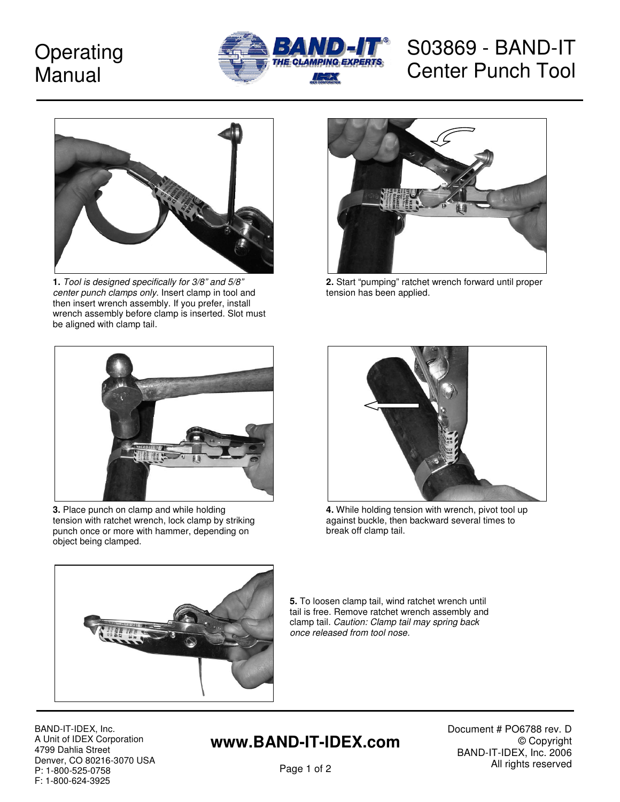# **Operating** Manual



# S03869 - BAND-IT Center Punch Tool



**1.** Tool is designed specifically for 3/8" and 5/8" center punch clamps only. Insert clamp in tool and then insert wrench assembly. If you prefer, install wrench assembly before clamp is inserted. Slot must be aligned with clamp tail.



**3.** Place punch on clamp and while holding tension with ratchet wrench, lock clamp by striking punch once or more with hammer, depending on object being clamped.



**2.** Start "pumping" ratchet wrench forward until proper tension has been applied.



**4.** While holding tension with wrench, pivot tool up against buckle, then backward several times to break off clamp tail.



**5.** To loosen clamp tail, wind ratchet wrench until tail is free. Remove ratchet wrench assembly and clamp tail. Caution: Clamp tail may spring back once released from tool nose.

BAND-IT-IDEX, Inc. A Unit of IDEX Corporation 4799 Dahlia Street Denver, CO 80216-3070 USA P: 1-800-525-0758 F: 1-800-624-3925

### **www.BAND-IT-IDEX.com**

Document # PO6788 rev. D © Copyright BAND-IT-IDEX, Inc. 2006 All rights reserved

Page 1 of 2